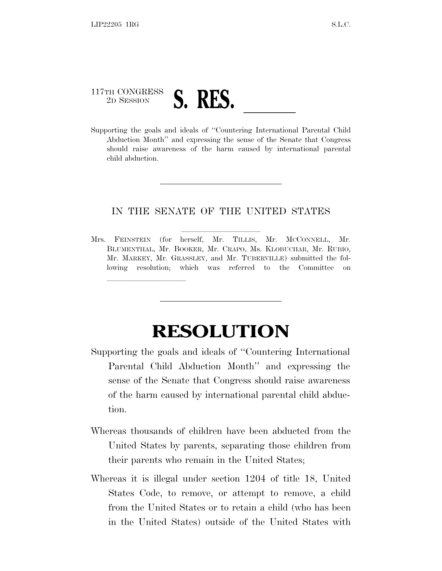## 117TH CONGRESS <sup>2D SESSION</sup> **S. RES.** <u>Letter and ideals</u> of "Countering International Parental Child

lland and a state of the state of the state of the state of the state of the state of the state of the state o

Abduction Month'' and expressing the sense of the Senate that Congress should raise awareness of the harm caused by international parental child abduction.

## IN THE SENATE OF THE UNITED STATES

Mrs. FEINSTEIN (for herself, Mr. TILLIS, Mr. MCCONNELL, Mr. BLUMENTHAL, Mr. BOOKER, Mr. CRAPO, Ms. KLOBUCHAR, Mr. RUBIO, Mr. MARKEY, Mr. GRASSLEY, and Mr. TUBERVILLE) submitted the following resolution; which was referred to the Committee on

## **RESOLUTION**

- Supporting the goals and ideals of ''Countering International Parental Child Abduction Month'' and expressing the sense of the Senate that Congress should raise awareness of the harm caused by international parental child abduction.
- Whereas thousands of children have been abducted from the United States by parents, separating those children from their parents who remain in the United States;
- Whereas it is illegal under section 1204 of title 18, United States Code, to remove, or attempt to remove, a child from the United States or to retain a child (who has been in the United States) outside of the United States with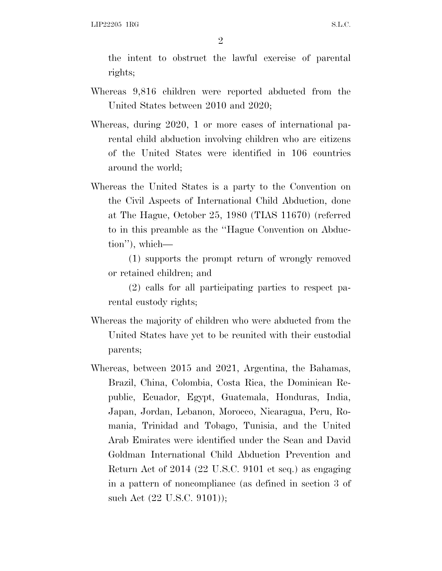the intent to obstruct the lawful exercise of parental rights;

- Whereas 9,816 children were reported abducted from the United States between 2010 and 2020;
- Whereas, during 2020, 1 or more cases of international parental child abduction involving children who are citizens of the United States were identified in 106 countries around the world;
- Whereas the United States is a party to the Convention on the Civil Aspects of International Child Abduction, done at The Hague, October 25, 1980 (TIAS 11670) (referred to in this preamble as the ''Hague Convention on Abduction''), which—

(1) supports the prompt return of wrongly removed or retained children; and

(2) calls for all participating parties to respect parental custody rights;

- Whereas the majority of children who were abducted from the United States have yet to be reunited with their custodial parents;
- Whereas, between 2015 and 2021, Argentina, the Bahamas, Brazil, China, Colombia, Costa Rica, the Dominican Republic, Ecuador, Egypt, Guatemala, Honduras, India, Japan, Jordan, Lebanon, Morocco, Nicaragua, Peru, Romania, Trinidad and Tobago, Tunisia, and the United Arab Emirates were identified under the Sean and David Goldman International Child Abduction Prevention and Return Act of 2014 (22 U.S.C. 9101 et seq.) as engaging in a pattern of noncompliance (as defined in section 3 of such Act (22 U.S.C. 9101));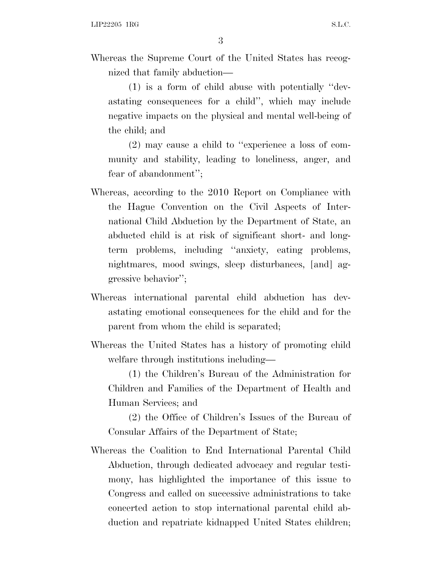Whereas the Supreme Court of the United States has recognized that family abduction—

(1) is a form of child abuse with potentially ''devastating consequences for a child'', which may include negative impacts on the physical and mental well-being of the child; and

(2) may cause a child to ''experience a loss of community and stability, leading to loneliness, anger, and fear of abandonment'';

- Whereas, according to the 2010 Report on Compliance with the Hague Convention on the Civil Aspects of International Child Abduction by the Department of State, an abducted child is at risk of significant short- and longterm problems, including ''anxiety, eating problems, nightmares, mood swings, sleep disturbances, [and] aggressive behavior'';
- Whereas international parental child abduction has devastating emotional consequences for the child and for the parent from whom the child is separated;
- Whereas the United States has a history of promoting child welfare through institutions including—

(1) the Children's Bureau of the Administration for Children and Families of the Department of Health and Human Services; and

(2) the Office of Children's Issues of the Bureau of Consular Affairs of the Department of State;

Whereas the Coalition to End International Parental Child Abduction, through dedicated advocacy and regular testimony, has highlighted the importance of this issue to Congress and called on successive administrations to take concerted action to stop international parental child abduction and repatriate kidnapped United States children;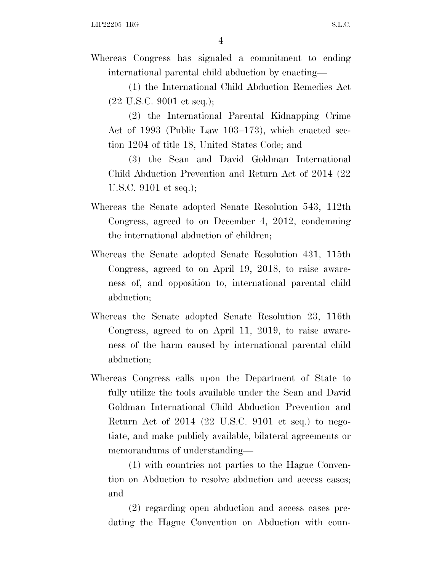Whereas Congress has signaled a commitment to ending international parental child abduction by enacting—

(1) the International Child Abduction Remedies Act (22 U.S.C. 9001 et seq.);

(2) the International Parental Kidnapping Crime Act of 1993 (Public Law 103–173), which enacted section 1204 of title 18, United States Code; and

(3) the Sean and David Goldman International Child Abduction Prevention and Return Act of 2014 (22 U.S.C. 9101 et seq.);

- Whereas the Senate adopted Senate Resolution 543, 112th Congress, agreed to on December 4, 2012, condemning the international abduction of children;
- Whereas the Senate adopted Senate Resolution 431, 115th Congress, agreed to on April 19, 2018, to raise awareness of, and opposition to, international parental child abduction;
- Whereas the Senate adopted Senate Resolution 23, 116th Congress, agreed to on April 11, 2019, to raise awareness of the harm caused by international parental child abduction;
- Whereas Congress calls upon the Department of State to fully utilize the tools available under the Sean and David Goldman International Child Abduction Prevention and Return Act of 2014 (22 U.S.C. 9101 et seq.) to negotiate, and make publicly available, bilateral agreements or memorandums of understanding—

(1) with countries not parties to the Hague Convention on Abduction to resolve abduction and access cases; and

(2) regarding open abduction and access cases predating the Hague Convention on Abduction with coun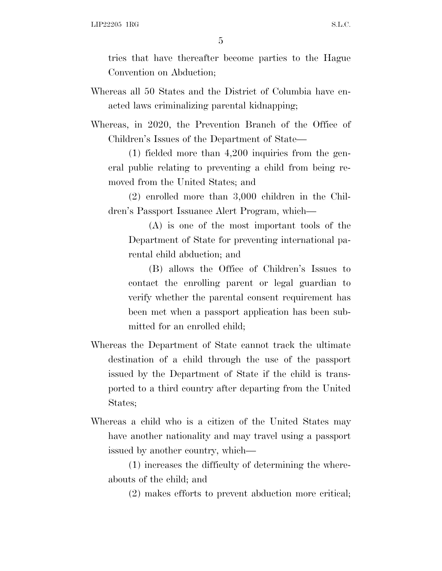5

tries that have thereafter become parties to the Hague Convention on Abduction;

Whereas all 50 States and the District of Columbia have enacted laws criminalizing parental kidnapping;

Whereas, in 2020, the Prevention Branch of the Office of Children's Issues of the Department of State—

(1) fielded more than 4,200 inquiries from the general public relating to preventing a child from being removed from the United States; and

(2) enrolled more than 3,000 children in the Children's Passport Issuance Alert Program, which—

(A) is one of the most important tools of the Department of State for preventing international parental child abduction; and

(B) allows the Office of Children's Issues to contact the enrolling parent or legal guardian to verify whether the parental consent requirement has been met when a passport application has been submitted for an enrolled child;

- Whereas the Department of State cannot track the ultimate destination of a child through the use of the passport issued by the Department of State if the child is transported to a third country after departing from the United States;
- Whereas a child who is a citizen of the United States may have another nationality and may travel using a passport issued by another country, which—

(1) increases the difficulty of determining the whereabouts of the child; and

(2) makes efforts to prevent abduction more critical;